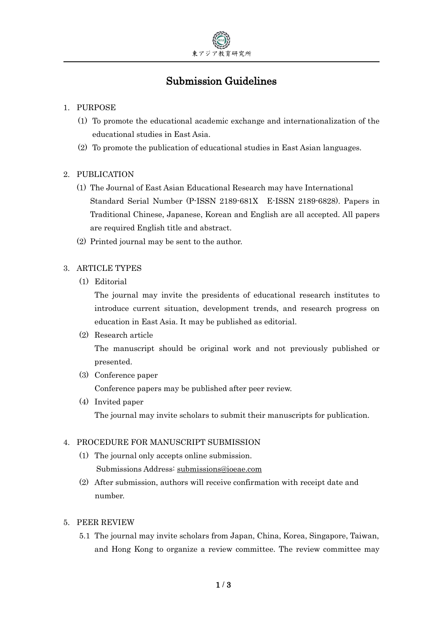

# Submission Guidelines

#### 1. PURPOSE

- (1) To promote the educational academic exchange and internationalization of the educational studies in East Asia.
- (2) To promote the publication of educational studies in East Asian languages.

## 2. PUBLICATION

- (1) The Journal of East Asian Educational Research may have International Standard Serial Number (P-ISSN 2189-681X E-ISSN 2189-6828). Papers in Traditional Chinese, Japanese, Korean and English are all accepted. All papers are required English title and abstract.
- (2) Printed journal may be sent to the author.

#### 3. ARTICLE TYPES

(1) Editorial

The journal may invite the presidents of educational research institutes to introduce current situation, development trends, and research progress on education in East Asia. It may be published as editorial.

(2) Research article

The manuscript should be original work and not previously published or presented.

- (3) Conference paper Conference papers may be published after peer review.
- (4) Invited paper The journal may invite scholars to submit their manuscripts for publication.

#### 4. PROCEDURE FOR MANUSCRIPT SUBMISSION

- (1) The journal only accepts online submission. Submissions Address: submissions@ioeae.com
- (2) After submission, authors will receive confirmation with receipt date and number.

#### 5. PEER REVIEW

5.1 The journal may invite scholars from Japan, China, Korea, Singapore, Taiwan, and Hong Kong to organize a review committee. The review committee may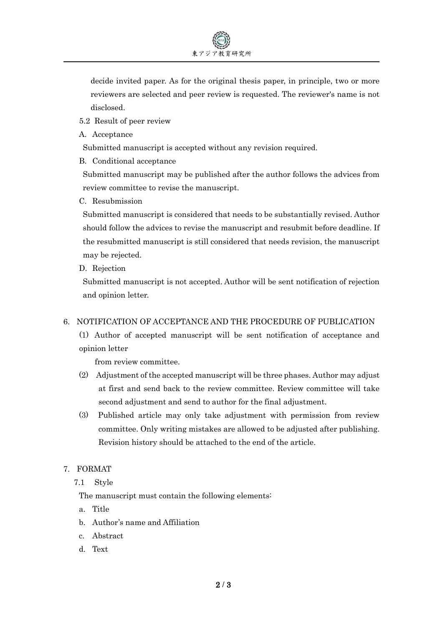decide invited paper. As for the original thesis paper, in principle, two or more reviewers are selected and peer review is requested. The reviewer's name is not disclosed.

- 5.2 Result of peer review
- A. Acceptance

Submitted manuscript is accepted without any revision required.

B. Conditional acceptance

Submitted manuscript may be published after the author follows the advices from review committee to revise the manuscript.

C. Resubmission

Submitted manuscript is considered that needs to be substantially revised. Author should follow the advices to revise the manuscript and resubmit before deadline. If the resubmitted manuscript is still considered that needs revision, the manuscript may be rejected.

D. Rejection

Submitted manuscript is not accepted. Author will be sent notification of rejection and opinion letter.

#### 6. NOTIFICATION OF ACCEPTANCE AND THE PROCEDURE OF PUBLICATION

(1) Author of accepted manuscript will be sent notification of acceptance and opinion letter

from review committee.

- (2) Adjustment of the accepted manuscript will be three phases. Author may adjust at first and send back to the review committee. Review committee will take second adjustment and send to author for the final adjustment.
- (3) Published article may only take adjustment with permission from review committee. Only writing mistakes are allowed to be adjusted after publishing. Revision history should be attached to the end of the article.
- 7. FORMAT
	- 7.1 Style

The manuscript must contain the following elements:

- a. Title
- b. Author's name and Affiliation
- c. Abstract
- d. Text